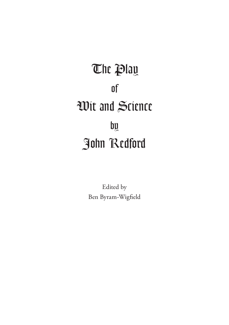**The Play** of Wit and Science by John Redford

> Edited by Ben Byram-Wigfield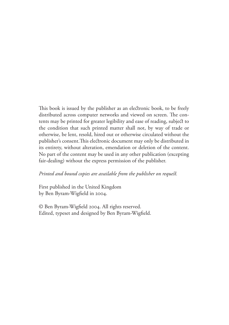This book is issued by the publisher as an electronic book, to be freely distributed across computer networks and viewed on screen. The contents may be printed for greater legibility and ease of reading, subject to the condition that such printed matter shall not, by way of trade or otherwise, be lent, resold, hired out or otherwise circulated without the publisher's consent. This electronic document may only be distributed in its entirety, without alteration, emendation or deletion of the content. No part of the content may be used in any other publication (excepting fair-dealing) without the express permission of the publisher.

#### *Printed and bound copies are available from the publisher on request.*

First published in the United Kingdom by Ben Byram-Wigfield in 2004.

© Ben Byram-Wigfield 2004. All rights reserved. Edited, typeset and designed by Ben Byram-Wigfield.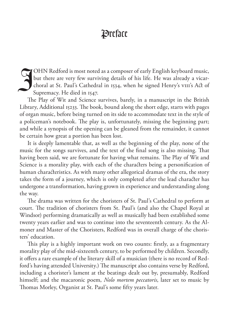## **Preface**

OHN Redford is most noted as a composer of early English keyboard music,<br>but there are very few surviving details of his life. He was already a vicar-<br>choral at St. Paul's Cathedral in 1534, when he signed Henry's VIII's A but there are very few surviving details of his life. He was already a vicarchoral at St. Paul's Cathedral in 1534, when he signed Henry's VIII's Act of Supremacy. He died in 1547.

The Play of Wit and Science survives, barely, in a manuscript in the British Library, Additional 15233. The book, bound along the short edge, starts with pages of organ music, before being turned on its side to accommodate text in the style of a policeman's notebook. The play is, unfortunately, missing the beginning part; and while a synopsis of the opening can be gleaned from the remainder, it cannot be certain how great a portion has been lost.

It is deeply lamentable that, as well as the beginning of the play, none of the music for the songs survives, and the text of the final song is also missing. That having been said, we are fortunate for having what remains. The Play of Wit and Science is a morality play, with each of the characters being a personification of human characteristics. As with many other allegorical dramas of the era, the story takes the form of a journey, which is only completed after the lead character has undergone a transformation, having grown in experience and understanding along the way.

The drama was written for the choristers of St. Paul's Cathedral to perform at court. The tradition of choristers from St. Paul's (and also the Chapel Royal at Windsor) performing dramatically as well as musically had been established some twenty years earlier and was to continue into the seventeenth century. As the Almoner and Master of the Choristers, Redford was in overall charge of the choristers' education.

This play is a highly important work on two counts: firstly, as a fragmentary morality play of the mid-sixteenth century, to be performed by children. Secondly, it offers a rare example of the literary skill of a musician (there is no record of Redford's having attended University.) The manuscript also contains verse by Redford, including a chorister's lament at the beatings dealt out by, presumably, Redford himself; and the macaronic poem, *Nolo mortem peccatoris*, later set to music by Thomas Morley, Organist at St. Paul's some fifty years later.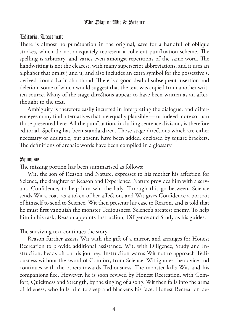#### Editorial Treatment

There is almost no punctuation in the original, save for a handful of oblique strokes, which do not adequately represent a coherent punctuation scheme. The spelling is arbitrary, and varies even amongst repetitions of the same word. The handwriting is not the clearest, with many superscript abbreviations, and it uses an alphabet that omits j and u, and also includes an extra symbol for the possessive s, derived from a Latin shorthand. There is a good deal of subsequent insertion and deletion, some of which would suggest that the text was copied from another written source. Many of the stage directions appear to have been written as an afterthought to the text.

Ambiguity is therefore easily incurred in interpreting the dialogue, and different eyes many find alternatives that are equally plausible — or indeed more so than those presented here. All the punctuation, including sentence division, is therefore editorial. Spelling has been standardized. Those stage directions which are either necessary or desirable, but absent, have been added, enclosed by square brackets. The definitions of archaic words have been compiled in a glossary.

#### **Sunopsis**

The missing portion has been summarised as follows:

Wit, the son of Reason and Nature, expresses to his mother his affection for Science, the daughter of Reason and Experience. Nature provides him with a servant, Confidence, to help him win the lady. Through this go-between, Science sends Wit a coat, as a token of her affection, and Wit gives Confidence a portrait of himself to send to Science. Wit then presents his case to Reason, and is told that he must first vanquish the monster Tediousness, Science's greatest enemy. To help him in his task, Reason appoints Instruction, Diligence and Study as his guides.

The surviving text continues the story.

Reason further assists Wit with the gift of a mirror, and arranges for Honest Recreation to provide additional assistance. Wit, with Diligence, Study and Instruction, heads off on his journey. Instruction warns Wit not to approach Tediousness without the sword of Comfort, from Science. Wit ignores the advice and continues with the others towards Tediousness. The monster kills Wit, and his companions flee. However, he is soon revived by Honest Recreation, with Comfort, Quickness and Strength, by the singing of a song. Wit then falls into the arms of Idleness, who lulls him to sleep and blackens his face. Honest Recreation de-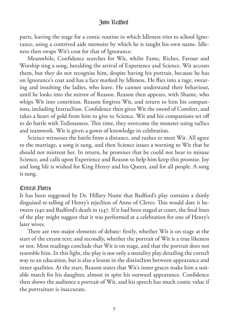parts, leaving the stage for a comic routine in which Idleness tries to school Ignorance, using a contrived aide memoire by which he is taught his own name. Idleness then swaps Wit's coat for that of Ignorance.

Meanwhile, Confidence searches for Wit, whilst Fame, Riches, Favour and Worship sing a song, heralding the arrival of Experience and Science. Wit accosts them, but they do not recognise him, despite having his portrait, because he has on Ignorance's coat and has a face marked by Idleness. He flies into a rage, swearing and insulting the ladies, who leave. He cannot understand their behaviour, until he looks into the mirror of Reason. Reason then appears, with Shame, who whips Wit into contrition. Reason forgives Wit, and return to him his companions, including Instruction. Confidence then gives Wit the sword of Comfort, and takes a heart of gold from him to give to Science. Wit and his companions set off to do battle with Tediousness. This time, they overcome the monster using tactics and teamwork. Wit is given a gown of knowledge in celebration.

Science witnesses the battle from a distance, and rushes to meet Wit. All agree to the marriage, a song is sung, and then Science issues a warning to Wit that he should not mistreat her. In return, he promises that he could not bear to misuse Science, and calls upon Experience and Reason to help him keep this promise. Joy and long life is wished for King Henry and his Queen, and for all people. A song is sung.

#### Critical Notes

It has been suggested by Dr. Hillary Nunn that Redford's play contains a thinly disguised re-telling of Henry's rejection of Anne of Cleves. This would date it between 1540 and Redford's death in 1547. If it had been staged at court, the final lines of the play might suggest that it was performed at a celebration for one of Henry's later wives.

There are two major elements of debate: firstly, whether Wit is on stage at the start of the extant text; and secondly, whether the portrait of Wit is a true likeness or not. Most readings conclude that Wit is on stage, and that the portrait does not resemble him. In this light, the play is not only a morality play detailing the corre way to an education, but is also a lesson in the distinction between appearance and inner qualities. At the start, Reason states that Wit's inner graces make him a suitable match for his daughter, almost in spite his outward appearance. Confidence then shows the audience a portrait of Wit, and his speech has much comic value if the portraiture is inaccurate.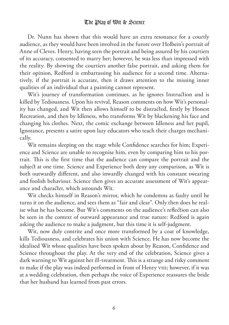Dr. Nunn has shown that this would have an extra resonance for a courtly audience, as they would have been involved in the furore over Holbein's portrait of Anne of Cleves. Henry, having seen the portrait and being assured by his courtiers of its accuracy, consented to marry her; however, he was less than impressed with the reality. By showing the courtiers another false portrait, and asking them for their opinion, Redford is embarrassing his audience for a second time. Alternatively, if the portrait is accurate, then it draws attention to the missing inner qualities of an individual that a painting cannot represent.

Wit's journey of transformation continues, as he ignores Instruction and is killed by Tediousness. Upon his revival, Reason comments on how Wit's personality has changed, and Wit then allows himself to be distracted, firstly by Honest Recreation, and then by Idleness, who transforms Wit by blackening his face and changing his clothes. Next, the comic exchange between Idleness and her pupil, Ignorance, presents a satire upon lazy educators who teach their charges mechanically.

Wit remains sleeping on the stage while Confidence searches for him; Experience and Science are unable to recognise him, even by comparing him to his portrait. This is the first time that the audience can compare the portrait and the subject at one time. Science and Experience both deny any comparison, as Wit is both outwardly different, and also inwardly changed with his constant swearing and foolish behaviour. Science then gives an accurate assessment of Wit's appearance and character, which astounds Wit.

Wit checks himself in Reason's mirror, which he condemns as faulty until he turns it on the audience, and sees them as "fair and clear". Only then does he realise what he has become. But Wit's comments on the audience's reflection can also be seen in the context of outward appearance and true nature: Redford is again asking the audience to make a judgment, but this time it is self-judgment.

Wit, now duly contrite and once more transformed by a coat of knowledge, kills Tediousness, and celebrates his union with Science. He has now become the idealised Wit whose qualities have been spoken about by Reason, Confidence and Science throughout the play. At the very end of the celebration, Science gives a dark warning to Wit against her ill-treatment. This is a strange and risky comment to make if the play was indeed performed in front of Henry VIII; however, if it was at a wedding celebration, then perhaps the voice of Experience reassures the bride that her husband has learned from past errors.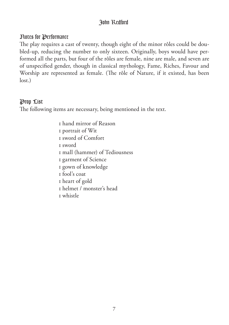#### Notes for Performance

The play requires a cast of twenty, though eight of the minor rôles could be doubled-up, reducing the number to only sixteen. Originally, boys would have performed all the parts, but four of the rôles are female, nine are male, and seven are of unspecified gender, though in classical mythology, Fame, Riches, Favour and Worship are represented as female. (The rôle of Nature, if it existed, has been lost.)

#### Prop List

The following items are necessary, being mentioned in the text.

 hand mirror of Reason portrait of Wit sword of Comfort sword mall (hammer) of Tediousness garment of Science gown of knowledge fool's coat heart of gold helmet / monster's head whistle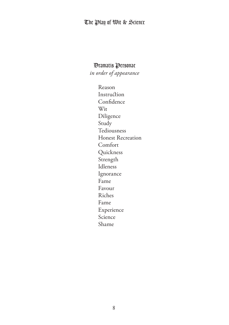#### Dramatis Personae

*in order of appearance*

 Reason Instruction Confidence Wit Diligence Study Tediousness Honest Recreation Comfort Quickness Strength Idleness Ignorance Fame Favour Riches Fame Experience Science Shame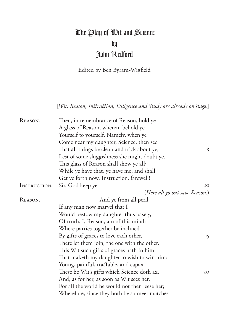## The Play of Wit and Science by John Redford

Edited by Ben Byram-Wigfield

[Wit, Reason, Instruction, Diligence and Study are already on stage.]

| REASON.      | Then, in remembrance of Reason, hold ye        |    |
|--------------|------------------------------------------------|----|
|              | A glass of Reason, wherein behold ye           |    |
|              | Yourself to yourself. Namely, when ye          |    |
|              | Come near my daughter, Science, then see       |    |
|              | That all things be clean and trick about ye;   | 5  |
|              | Lest of some sluggishness she might doubt ye.  |    |
|              | This glass of Reason shall show ye all;        |    |
|              | While ye have that, ye have me, and shall.     |    |
|              | Get ye forth now. Instruction, farewell!       |    |
| INSTRUCTION. | Sir, God keep ye.                              | IO |
|              | (Here all go out save Reason.)                 |    |
| REASON.      | And ye from all peril.                         |    |
|              | If any man now marvel that I                   |    |
|              | Would bestow my daughter thus basely,          |    |
|              | Of truth, I, Reason, am of this mind:          |    |
|              | Where parties together be inclined             |    |
|              | By gifts of graces to love each other,         | 15 |
|              | There let them join, the one with the other.   |    |
|              | This Wit such gifts of graces hath in him      |    |
|              | That maketh my daughter to wish to win him:    |    |
|              | Young, painful, tractable, and capax —         |    |
|              | These be Wit's gifts which Science doth ax.    | 20 |
|              | And, as for her, as soon as Wit sees her,      |    |
|              | For all the world he would not then leese her; |    |
|              | Wherefore, since they both be so meet matches  |    |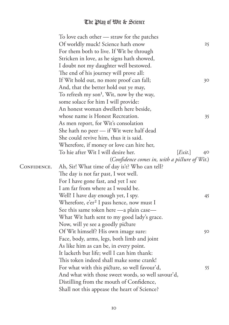|             | To love each other — straw for the patches            |    |
|-------------|-------------------------------------------------------|----|
|             | Of worldly muck! Science hath enow                    | 25 |
|             | For them both to live. If Wit be through              |    |
|             | Stricken in love, as he signs hath showed,            |    |
|             | I doubt not my daughter well bestowed.                |    |
|             | The end of his journey will prove all:                |    |
|             | If Wit hold out, no more proof can fall;              | 30 |
|             | And, that the better hold out ye may,                 |    |
|             | To refresh my son <sup>1</sup> , Wit, now by the way, |    |
|             | some solace for him I will provide:                   |    |
|             | An honest woman dwelleth here beside,                 |    |
|             | whose name is Honest Recreation.                      | 35 |
|             | As men report, for Wit's consolation                  |    |
|             | She hath no peer - if Wit were half dead              |    |
|             | She could revive him, thus it is said.                |    |
|             | Wherefore, if money or love can hire her,             |    |
|             | To hie after Wit I will desire her.<br>[Exit.]        | 40 |
|             | (Confidence comes in, with a picture of Wit.)         |    |
| CONFIDENCE. | Ah, Sir! What time of day is't? Who can tell?         |    |
|             | The day is not far past, I wot well.                  |    |
|             | For I have gone fast, and yet I see                   |    |
|             | I am far from where as I would be.                    |    |
|             | Well! I have day enough yet, I spy.                   | 45 |
|             | Wherefore, e'er <sup>2</sup> I pass hence, now must I |    |
|             | See this same token here - a plain case-              |    |
|             | What Wit hath sent to my good lady's grace.           |    |
|             | Now, will ye see a goodly picture                     |    |
|             | Of Wit himself? His own image sure:                   | 50 |
|             | Face, body, arms, legs, both limb and joint           |    |
|             | As like him as can be, in every point.                |    |
|             | It lacketh but life; well I can him thank:            |    |
|             | This token indeed shall make some crank!              |    |
|             | For what with this picture, so well favour'd,         | 55 |
|             | And what with those sweet words, so well savour'd,    |    |
|             | Distilling from the mouth of Confidence,              |    |
|             | Shall not this appease the heart of Science?          |    |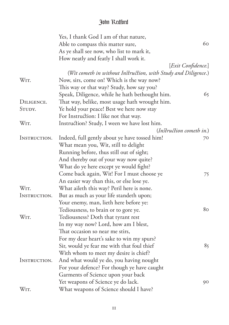|              | Yes, I thank God I am of that nature,                          |                    |
|--------------|----------------------------------------------------------------|--------------------|
|              | Able to compass this matter sure,                              | 60                 |
|              | As ye shall see now, who list to mark it,                      |                    |
|              | How neatly and featly I shall work it.                         |                    |
|              |                                                                | [Exit Confidence.] |
|              | (Wit cometh in without Instruction, with Study and Diligence.) |                    |
| WIT.         | Now, sirs, come on! Which is the way now?                      |                    |
|              | This way or that way? Study, how say you?                      |                    |
|              | Speak, Diligence, while he hath bethought him.                 | 65                 |
| DILIGENCE.   | That way, belike, most usage hath wrought him.                 |                    |
| STUDY.       | Ye hold your peace! Best we here now stay                      |                    |
|              | For Instruction: I like not that way.                          |                    |
| WIT.         | Instruction? Study, I ween we have lost him.                   |                    |
|              | (Instruction cometh in.)                                       |                    |
| INSTRUCTION. | Indeed, full gently about ye have tossed him!                  | 70                 |
|              | What mean you, Wit, still to delight                           |                    |
|              | Running before, thus still out of sight;                       |                    |
|              | And thereby out of your way now quite?                         |                    |
|              | What do ye here except ye would fight?                         |                    |
|              | Come back again, Wit! For I must choose ye                     | 75                 |
|              | An easier way than this, or else lose ye.                      |                    |
| WIT.         | What aileth this way? Peril here is none.                      |                    |
| INSTRUCTION. | But as much as your life standeth upon;                        |                    |
|              | Your enemy, man, lieth here before ye:                         |                    |
|              | Tediousness, to brain or to gore ye.                           | 8 <sub>O</sub>     |
| WIT.         | Tediousness? Doth that tyrant rest                             |                    |
|              | In my way now? Lord, how am I blest,                           |                    |
|              | That occasion so near me stirs,                                |                    |
|              | For my dear heart's sake to win my spurs?                      |                    |
|              | Sir, would ye fear me with that foul thief                     | 85                 |
|              | With whom to meet my desire is chief?                          |                    |
| INSTRUCTION. | And what would ye do, you having nought                        |                    |
|              | For your defence? For though ye have caught                    |                    |
|              | Garments of Science upon your back                             |                    |
|              | Yet weapons of Science ye do lack.                             | 90                 |
| WIT.         | What weapons of Science should I have?                         |                    |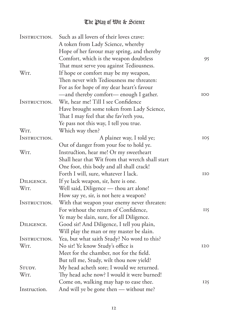| INSTRUCTION. | Such as all lovers of their loves crave:         |            |
|--------------|--------------------------------------------------|------------|
|              | A token from Lady Science, whereby               |            |
|              | Hope of her favour may spring, and thereby       |            |
|              | Comfort, which is the weapon doubtless           | 95         |
|              | That must serve you against Tediousness.         |            |
| WIT.         | If hope or comfort may be my weapon,             |            |
|              | Then never with Tediousness me threaten:         |            |
|              | For as for hope of my dear heart's favour        |            |
|              | -and thereby comfort- enough I gather.           | IOO        |
| INSTRUCTION. | Wit, hear me! Till I see Confidence              |            |
|              | Have brought some token from Lady Science,       |            |
|              | That I may feel that she fav'reth you,           |            |
|              | Ye pass not this way, I tell you true.           |            |
| WIT.         | Which way then?                                  |            |
| INSTRUCTION. | A plainer way, I told ye;                        | IO5        |
|              | Out of danger from your foe to hold ye.          |            |
| WIT.         | Instruction, hear me! Or my sweetheart           |            |
|              | Shall hear that Wit from that wretch shall start |            |
|              | One foot, this body and all shall crack!         |            |
|              | Forth I will, sure, whatever I lack.             | IIO        |
| DILIGENCE.   | If ye lack weapon, sir, here is one.             |            |
| WIT.         | Well said, Diligence - thou art alone!           |            |
|              | How say ye, sir, is not here a weapon?           |            |
| INSTRUCTION. | With that weapon your enemy never threaten:      |            |
|              | For without the return of Confidence,            | II5        |
|              | Ye may be slain, sure, for all Diligence.        |            |
| DILIGENCE.   | Good sir! And Diligence, I tell you plain,       |            |
|              | Will play the man or my master be slain.         |            |
| INSTRUCTION. | Yea, but what saith Study? No word to this?      |            |
| WIT.         | No sir! Ye know Study's office is                | <b>I2O</b> |
|              | Meet for the chamber, not for the field.         |            |
|              | But tell me, Study, wilt thou now yield?         |            |
| STUDY.       | My head acheth sore; I would we returned.        |            |
| WIT.         | Thy head ache now? I would it were burned!       |            |
|              | Come on, walking may hap to ease thee.           | 125        |
| Instruction. | And will ye be gone then - without me?           |            |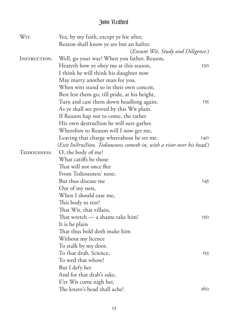| WIT.         | Yea, by my faith, except ye hie after,                                 |     |
|--------------|------------------------------------------------------------------------|-----|
|              | Reason shall know ye are but an hafter.                                |     |
|              | (Exeunt Wit, Study and Diligence.)                                     |     |
| INSTRUCTION. | Well, go your way! When you father, Reason,                            |     |
|              | Heareth how ye obey me at this season,                                 | 130 |
|              | I think he will think his daughter now                                 |     |
|              | May marry another man for you.                                         |     |
|              | When wits stand so in their own conceit,                               |     |
|              | Best lest them go; till pride, at his height,                          |     |
|              | Turn and cast them down headlong again;                                | 135 |
|              | As ye shall see proved by this Wit plain.                              |     |
|              | If Reason hap not to come, the rather                                  |     |
|              | His own destruction he will sure gather.                               |     |
|              | Wherefore to Reason will I now get me,                                 |     |
|              | Leaving that charge whereabout he set me.                              | 140 |
|              | (Exit Instruction. Tediousness cometh in, with a visor over his head.) |     |
| TEDIOUSNESS. | O, the body of me!                                                     |     |
|              | What catiffs be those                                                  |     |
|              | That will not once flee                                                |     |
|              | From Tediousness' nose;                                                |     |
|              | But thus disease me                                                    | 145 |
|              | Out of my nest,                                                        |     |
|              | When I should ease me,                                                 |     |
|              | This body to rest?                                                     |     |
|              | That Wit, that villain,                                                |     |
|              | That wretch - a shame take him!                                        | 150 |
|              | It is he plain                                                         |     |
|              | That thus bold doth make him                                           |     |
|              | Without my licence                                                     |     |
|              | To stalk by my door,                                                   |     |
|              | To that drab, Science,                                                 | 155 |
|              | To wed that whore!                                                     |     |
|              | But I defy her                                                         |     |
|              | And for that drab's sake,                                              |     |
|              | E'er Wit come nigh her,                                                |     |
|              | The knave's head shall ache!                                           | 160 |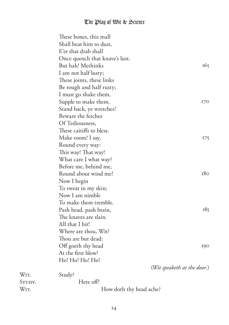| These bones, this mall         |                             |
|--------------------------------|-----------------------------|
| Shall beat him to dust,        |                             |
| E'er that drab shall           |                             |
| Once quench that knave's lust. |                             |
| But hah! Methinks              | 165                         |
| I am not half lusty;           |                             |
| These joints, these links      |                             |
| Be rough and half rusty;       |                             |
| I must go shake them,          |                             |
| Supple to make them.           | 170                         |
| Stand back, ye wretches!       |                             |
| Beware the fetches             |                             |
| Of Tediousness,                |                             |
| These caitiffs to bless.       |                             |
| Make room! I say,              | 175                         |
| Round every way:               |                             |
| This way! That way!            |                             |
| What care I what way?          |                             |
| Before me, behind me,          |                             |
| Round about wind me!           | 180                         |
| Now I begin                    |                             |
| To sweat in my skin;           |                             |
| Now I am nimble                |                             |
| To make them tremble.          |                             |
| Pash head, pash brain,         | 185                         |
| The knaves are slain.          |                             |
| All that I hit!                |                             |
| Where are thou, Wit?           |                             |
| Thou are but dead:             |                             |
| Off goeth thy head             | 190                         |
| At the first blow!             |                             |
| Ho! Ho! Ho! Ho!                |                             |
|                                | (Wit speaketh at the door.) |
| Study?                         |                             |
| Here off!                      |                             |
| How doth thy head ache?        |                             |

W<sub>IT</sub>.

STUDY.<br>Wit.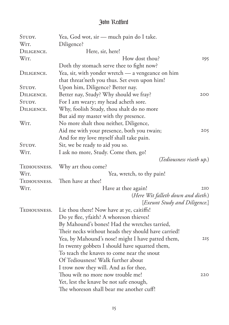| STUDY.       | Yea, God wot, sir — much pain do I take.            |     |
|--------------|-----------------------------------------------------|-----|
| WIT.         | Diligence?                                          |     |
| DILIGENCE.   | Here, sir, here!                                    |     |
| WIT.         | How dost thou?                                      | 195 |
|              | Doth thy stomach serve thee to fight now?           |     |
| DILIGENCE.   | Yea, sir, with yonder wretch — a vengeance on him   |     |
|              | that threat'neth you thus. Set even upon him!       |     |
| STUDY.       | Upon him, Diligence? Better nay.                    |     |
| DILIGENCE.   | Better nay, Study? Why should we fray?              | 200 |
| STUDY.       | For I am weary; my head acheth sore.                |     |
| DILIGENCE.   | Why, foolish Study, thou shalt do no more           |     |
|              | But aid my master with thy presence.                |     |
| WIT.         | No more shalt thou neither, Diligence,              |     |
|              | Aid me with your presence, both you twain;          | 205 |
|              | And for my love myself shall take pain.             |     |
| STUDY.       | Sir, we be ready to aid you so.                     |     |
| WIT.         | I ask no more, Study. Come then, go!                |     |
|              | (Tediousness riseth up.)                            |     |
| TEDIOUSNESS. | Why art thou come?                                  |     |
| WIT.         | Yea, wretch, to thy pain!                           |     |
| TEDIOUSNESS. | Then have at thee!                                  |     |
| WIT.         | Have at thee again!                                 | 210 |
|              | (Here Wit falleth down and dieth.)                  |     |
|              | [Exeunt Study and Diligence.]                       |     |
| TEDIOUSNESS. | Lie thou there! Now have at ye, caitiffs!           |     |
|              | Do ye flee, yfaith? A whoreson thieves!             |     |
|              | By Mahound's bones! Had the wretches tarried,       |     |
|              | Their necks without heads they should have carried! |     |
|              | Yea, by Mahound's nose! might I have patted them,   | 215 |
|              | In twenty gobbets I should have squatted them,      |     |
|              | To teach the knaves to come near the snout          |     |
|              | Of Tediousness! Walk further about                  |     |
|              | I trow now they will. And as for thee,              |     |
|              | Thou wilt no more now trouble me!                   | 220 |
|              | Yet, lest the knave be not safe enough,             |     |
|              | The whoreson shall bear me another cuff!            |     |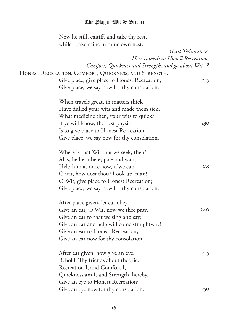Now lie still, caitiff, and take thy rest, while I take mine in mine own nest.

|                                                                | (Exit Tediousness. |
|----------------------------------------------------------------|--------------------|
| Here cometh in Honest Recreation,                              |                    |
| Comfort, Quickness and Strength, and go about Wit <sup>3</sup> |                    |
| Honest Recreation, Comfort, Quickness, and Strength.           |                    |
| Give place, give place to Honest Recreation;                   | 225                |
| Give place, we say now for thy consolation.                    |                    |
| When travels great, in matters thick                           |                    |
| Have dulled your wits and made them sick,                      |                    |
| What medicine then, your wits to quick?                        |                    |
| If ye will know, the best physic                               | 230                |
| Is to give place to Honest Recreation;                         |                    |
| Give place, we say now for thy consolation.                    |                    |
| Where is that Wit that we seek, then?                          |                    |
| Alas, he lieth here, pale and wan;                             |                    |
| Help him at once now, if we can.                               | 235                |
| O wit, how dost thou? Look up, man!                            |                    |
| O Wit, give place to Honest Recreation;                        |                    |
| Give place, we say now for thy consolation.                    |                    |
| After place given, let ear obey.                               |                    |
| Give an ear, O Wit, now we thee pray.                          | 240                |
| Give an ear to that we sing and say;                           |                    |
| Give an ear and help will come straightway!                    |                    |
| Give an ear to Honest Recreation;                              |                    |
| Give an ear now for thy consolation.                           |                    |
| After ear given, now give an eye.                              | 245                |
| Behold! Thy friends about thee lie:                            |                    |
| Recreation I, and Comfort I,                                   |                    |
| Quickness am I, and Strength, hereby.                          |                    |
| Give an eye to Honest Recreation;                              |                    |
| Give an eye now for thy consolation.                           | 250                |
|                                                                |                    |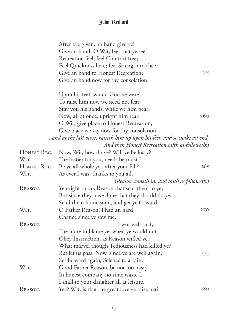|             | After eye given, an hand give ye!<br>Give an hand, O Wit, feel that ye see! |                 |
|-------------|-----------------------------------------------------------------------------|-----------------|
|             | Recreation feel; feel Comfort free;                                         |                 |
|             | Feel Quickness here; feel Strength to thee.                                 |                 |
|             | Give an hand to Honest Recreation;                                          | 255             |
|             | Give an hand now for thy consolation.                                       |                 |
|             | Upon his feet, would God he were!                                           |                 |
|             | To raise him now we need not fear.                                          |                 |
|             | Stay you his hands, while we him bear;                                      |                 |
|             | Now, all at once, upright him rear.                                         | 260             |
|             | O Wit, give place to Honest Recreation;                                     |                 |
|             | Give place we say now for thy consolation.                                  |                 |
|             | and at the last verse, raiseth him up upon his feet, and so make an end.    |                 |
|             | And then Honest Recreation saith as followeth:)                             |                 |
| HONEST REC. | Now, Wit, how do ye? Will ye be lusty?                                      |                 |
| WIT.        | The lustier for you, needs be must I.                                       |                 |
| HONEST REC. | Be ye all whole yet, after your fall?                                       | 265             |
| WIT.        | As ever I was, thanks to you all.                                           |                 |
|             | (Reason cometh in, and saith as followeth.)                                 |                 |
| REASON.     | Ye might thank Reason that sent them to ye;                                 |                 |
|             | But since they have done that they should do ye,                            |                 |
|             | Send them home soon, and get ye forward.                                    |                 |
| WIT.        | O Father Reason! I had an hard                                              | 270             |
|             | Chance since ye saw me.                                                     |                 |
| REASON.     | I wot well that,                                                            |                 |
|             | The more to blame ye, when ye would not                                     |                 |
|             | Obey Instruction, as Reason willed ye.                                      |                 |
|             | What marvel though Tediousness had killed ye?                               |                 |
|             | But let us pass. Now, since ye are well again,                              | 275             |
|             | Set forward again, Science to attain.                                       |                 |
| WIT.        | Good Father Reason, be not too hasty.                                       |                 |
|             | In honest company no time waste I.                                          |                 |
|             | I shall to your daughter all at leisure.                                    |                 |
| REASON.     | Yea? Wit, is that the great love ye raise her?                              | 28 <sub>O</sub> |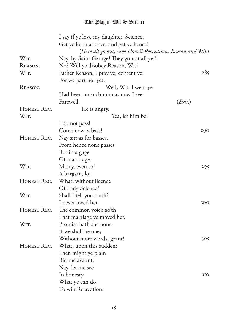|                   | I say if ye love my daughter, Science,                     |         |
|-------------------|------------------------------------------------------------|---------|
|                   | Get ye forth at once, and get ye hence!                    |         |
|                   | (Here all go out, save Honest Recreation, Reason and Wit.) |         |
| WIT.              | Nay, by Saint George! They go not all yet!                 |         |
| REASON.           | No? Will ye disobey Reason, Wit?                           |         |
| WIT.              | Father Reason, I pray ye, content ye:                      | 285     |
|                   | For we part not yet.                                       |         |
| REASON.           | Well, Wit, I went ye                                       |         |
|                   | Had been no such man as now I see.                         |         |
|                   | Farewell.                                                  | (Exit.) |
| HONEST REC.       | He is angry.                                               |         |
| WIT.              | Yea, let him be!                                           |         |
|                   | I do not pass!                                             |         |
|                   | Come now, a bass!                                          | 290     |
| HONEST REC.       | Nay sir: as for basses,                                    |         |
|                   | From hence none passes                                     |         |
|                   | But in a gage                                              |         |
|                   | Of marri-age.                                              |         |
| WIT.              | Marry, even so!                                            | 295     |
|                   | A bargain, lo!                                             |         |
| HONEST REC.       | What, without licence                                      |         |
|                   | Of Lady Science?                                           |         |
| WIT.              | Shall I tell you truth?                                    |         |
|                   | I never loved her.                                         | 300     |
| HONEST REC.       | The common voice go'th                                     |         |
|                   | That marriage ye moved her.                                |         |
| W <sub>IT</sub> . | Promise hath she none                                      |         |
|                   | If we shall be one;                                        |         |
|                   | Without more words, grant!                                 | 305     |
| HONEST REC.       | What, upon this sudden?                                    |         |
|                   | Then might ye plain                                        |         |
|                   | Bid me avaunt.                                             |         |
|                   | Nay, let me see                                            |         |
|                   | In honesty                                                 | 310     |
|                   | What ye can do                                             |         |
|                   | To win Recreation:                                         |         |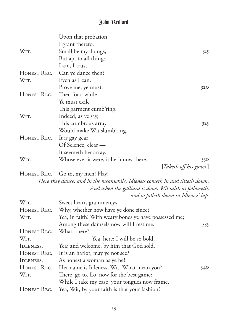|             | Upon that probation                                                         |                                       |
|-------------|-----------------------------------------------------------------------------|---------------------------------------|
|             | I grant thereto.                                                            |                                       |
| WIT.        | Small be my doings,                                                         | 315                                   |
|             | But apt to all things                                                       |                                       |
|             | I am, I trust.                                                              |                                       |
| HONEST REC. | Can ye dance then?                                                          |                                       |
| WIT.        | Even as I can.                                                              |                                       |
|             | Prove me, ye must.                                                          | 320                                   |
| HONEST REC. | Then for a while                                                            |                                       |
|             | Ye must exile                                                               |                                       |
|             | This garment cumb'ring.                                                     |                                       |
| WIT.        | Indeed, as ye say,                                                          |                                       |
|             | This cumbrous array                                                         | 325                                   |
|             | Would make Wit slumb'ring.                                                  |                                       |
| HONEST REC. | It is gay gear                                                              |                                       |
|             | Of Science, clear -                                                         |                                       |
|             | It seemeth her array.                                                       |                                       |
| WIT.        | Whose ever it were, it lieth now there.                                     | 330                                   |
|             |                                                                             | [Taketh off his gown.]                |
| HONEST REC. | Go to, my men! Play!                                                        |                                       |
|             | Here they dance, and in the meanwhile, Idleness cometh in and sitteth down. |                                       |
|             | And when the galliard is done, Wit saith as followeth,                      |                                       |
|             |                                                                             | and so falleth down in Idleness' lap. |
| WIT.        | Sweet heart, grammercys!                                                    |                                       |
| HONEST REC. | Why, whether now have ye done since?                                        |                                       |
| WIT.        | Yea, in faith! With weary bones ye have possessed me;                       |                                       |
|             | Among these damsels now will I rest me.                                     | 335                                   |
| HONEST REC. | What, there?                                                                |                                       |
| WIT.        | Yea, here: I will be so bold.                                               |                                       |
| IDLENESS.   | Yea; and welcome, by him that God sold.                                     |                                       |
| HONEST REC. | It is an harlot, may ye not see?                                            |                                       |
| IDLENESS.   | As honest a woman as ye be!                                                 |                                       |
| HONEST REC. | Her name is Idleness, Wit. What mean you?                                   | 340                                   |
| WIT.        | There, go to. Lo, now for the best game:                                    |                                       |
|             | While I take my ease, your tongues now frame.                               |                                       |
| HONEST REC. | Yea, Wit, by your faith is that your fashion?                               |                                       |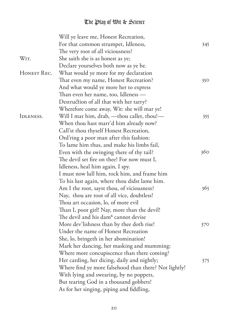|             | Will ye leave me, Honest Recreation,                  |     |
|-------------|-------------------------------------------------------|-----|
|             | For that common strumpet, Idleness,                   | 345 |
|             | The very root of all viciousness?                     |     |
| WIT.        | She saith she is as honest as ye;                     |     |
|             | Declare yourselves both now as ye be.                 |     |
| HONEST REC. | What would ye more for my declaration                 |     |
|             | That even my name, Honest Recreation?                 | 350 |
|             | And what would ye more her to express                 |     |
|             | Than even her name, too, Idleness —                   |     |
|             | Destruction of all that with her tarry?               |     |
|             | Wherefore come away, Wit: she will mar ye!            |     |
| IDLENESS.   | Will I mar him, drab, -thou callet, thou !-           | 355 |
|             | When thou hast marr'd him already now?                |     |
|             | Call'st thou thyself Honest Recreation,               |     |
|             | Ord'ring a poor man after this fashion:               |     |
|             | To lame him thus, and make his limbs fail,            |     |
|             | Even with the swinging there of thy tail?             | 360 |
|             | The devil set fire on thee! For now must I,           |     |
|             | Idleness, heal him again, I spy.                      |     |
|             | I must now lull him, rock him, and frame him          |     |
|             | To his lust again, where thou didst lame him.         |     |
|             | Am I the root, sayst thou, of viciousness?            | 365 |
|             | Nay, thou are root of all vice, doubtless!            |     |
|             | Thou art occasion, lo, of more evil                   |     |
|             | Than I, poor girl! Nay, more than the devil!          |     |
|             | The devil and his dam <sup>4</sup> cannot devise      |     |
|             | More dev'lishness than by thee doth rise!             | 370 |
|             | Under the name of Honest Recreation                   |     |
|             | She, lo, bringeth in her abomination!                 |     |
|             | Mark her dancing, her masking and mumming:            |     |
|             | Where more concupiscence than there coming?           |     |
|             | Her carding, her dicing, daily and nightly;           | 375 |
|             | Where find ye more falsehood than there? Not lightly! |     |
|             | With lying and swearing, by no poppets,               |     |
|             | But tearing God in a thousand gobbets!                |     |
|             | As for her singing, piping and fiddling,              |     |
|             |                                                       |     |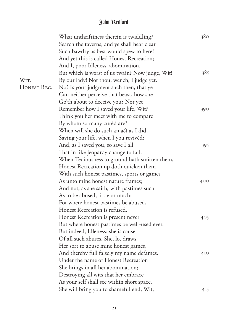|             | What unthriftiness therein is twiddling?        | 380             |
|-------------|-------------------------------------------------|-----------------|
|             | Search the taverns, and ye shall hear clear     |                 |
|             | Such bawdry as best would spew to here!         |                 |
|             | And yet this is called Honest Recreation;       |                 |
|             | And I, poor Idleness, abomination.              |                 |
|             | But which is worst of us twain? Now judge, Wit! | 385             |
| WIT.        | By our lady! Not thou, wench, I judge yet.      |                 |
| HONEST REC. | No? Is your judgment such then, that ye         |                 |
|             | Can neither perceive that beast, how she        |                 |
|             | Go'th about to deceive you? Nor yet             |                 |
|             | Remember how I saved your life, Wit?            | 390             |
|             | Think you her meet with me to compare           |                 |
|             | By whom so many cured are?                      |                 |
|             | When will she do such an act as I did,          |                 |
|             | Saving your life, when I you revived?           |                 |
|             | And, as I saved you, so save I all              | 395             |
|             | That in like jeopardy change to fall.           |                 |
|             | When Tediousness to ground hath smitten them,   |                 |
|             | Honest Recreation up doth quicken them          |                 |
|             | With such honest pastimes, sports or games      |                 |
|             | As unto mine honest nature frames;              | 400             |
|             | And not, as she saith, with pastimes such       |                 |
|             | As to be abused, little or much:                |                 |
|             | For where honest pastimes be abused,            |                 |
|             | Honest Recreation is refused.                   |                 |
|             | Honest Recreation is present never              | 405             |
|             | But where honest pastimes be well-used ever.    |                 |
|             | But indeed, Idleness: she is cause              |                 |
|             | Of all such abuses. She, lo, draws              |                 |
|             | Her sort to abuse mine honest games,            |                 |
|             | And thereby full falsely my name defames.       | 4I <sub>O</sub> |
|             | Under the name of Honest Recreation             |                 |
|             | She brings in all her abomination;              |                 |
|             | Destroying all wits that her embrace            |                 |
|             | As your self shall see within short space.      |                 |
|             | She will bring you to shameful end, Wit,        | 415             |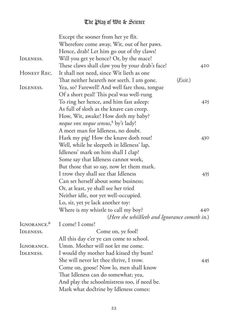|                          | Except the sooner from her ye flit.             |         |
|--------------------------|-------------------------------------------------|---------|
|                          | Wherefore come away, Wit, out of her paws.      |         |
|                          | Hence, drab! Let him go out of thy claws!       |         |
| IDLENESS.                | Will you get ye hence? Or, by the mace!         |         |
|                          | These claws shall claw you by your drab's face! | 420     |
| HONEST REC.              | It shall not need, since Wit lieth as one       |         |
|                          | That neither heareth nor seeth. I am gone.      | (Exit.) |
| IDLENESS.                | Yea, so? Farewell! And well fare thou, tongue   |         |
|                          | Of a short peal! This peal was well-rung        |         |
|                          | To ring her hence, and him fast asleep:         | 425     |
|                          | As full of sloth as the knave can creep.        |         |
|                          | How, Wit, awake! How doth my baby?              |         |
|                          | neque vox neque sensus, <sup>5</sup> by't lady! |         |
|                          | A meet man for Idleness, no doubt.              |         |
|                          | Hark my pig! How the knave doth rout!           | 430     |
|                          | Well, while he sleepeth in Idleness' lap,       |         |
|                          | Idleness' mark on him shall I clap!             |         |
|                          | Some say that Idleness cannot work,             |         |
|                          | But those that so say, now let them mark.       |         |
|                          | I trow they shall see that Idleness             | 435     |
|                          | Can set herself about some business;            |         |
|                          | Or, at least, ye shall see her tried            |         |
|                          | Neither idle, nor yet well-occupied.            |         |
|                          | Lo, sir, yet ye lack another toy:               |         |
|                          | Where is my whistle to call my boy?             | 440     |
|                          | (Here she whistleth and Ignorance cometh in.)   |         |
| IGNORANCE. <sup>6</sup>  | I come! I come!                                 |         |
| IDLENESS.                | Come on, ye fool!                               |         |
|                          | All this day e'er ye can come to school.        |         |
| <i><b>IGNORANCE.</b></i> | Umm. Mother will not let me come.               |         |
| IDLENESS.                | I would thy mother had kissed thy bum!          |         |
|                          | She will never let thee thrive, I trow.         | 445     |
|                          | Come on, goose! Now lo, men shall know          |         |
|                          | That Idleness can do somewhat; yea,             |         |
|                          | And play the schoolmistress too, if need be.    |         |
|                          | Mark what doctrine by Idleness comes:           |         |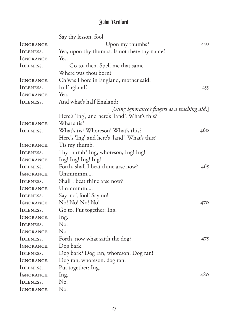|                          | Say thy lesson, fool!                          |     |
|--------------------------|------------------------------------------------|-----|
| <i><b>IGNORANCE.</b></i> | Upon my thumbs?                                | 450 |
| IDLENESS.                | Yea, upon thy thumbs. Is not there thy name?   |     |
| <i><b>IGNORANCE.</b></i> | Yes.                                           |     |
| IDLENESS.                | Go to, then. Spell me that same.               |     |
|                          | Where was thou born?                           |     |
| <i><b>IGNORANCE.</b></i> | Ch'was I bore in England, mother said.         |     |
| IDLENESS.                | In England?                                    | 455 |
| IGNORANCE.               | Yea.                                           |     |
| IDLENESS.                | And what's half England?                       |     |
|                          | [Using Ignorance's fingers as a teaching aid.] |     |
|                          | Here's 'Ing', and here's 'land'. What's this?  |     |
| IGNORANCE.               | What's tis?                                    |     |
| IDLENESS.                | What's tis? Whoreson! What's this?             | 460 |
|                          | Here's 'Ing' and here's 'land'. What's this?   |     |
| <i><b>IGNORANCE.</b></i> | Tis my thumb.                                  |     |
| IDLENESS.                | Thy thumb? Ing, whoreson, Ing! Ing!            |     |
| <i><b>IGNORANCE.</b></i> | Ing! Ing! Ing! Ing!                            |     |
| IDLENESS.                | Forth, shall I beat thine arse now?            | 465 |
| IGNORANCE.               | $U$ mmmmm                                      |     |
| IDLENESS.                | Shall I beat thine arse now?                   |     |
| <i><b>IGNORANCE.</b></i> | $U$ mmmm $m$                                   |     |
| IDLENESS.                | Say 'no', fool! Say no!                        |     |
| <i><b>IGNORANCE.</b></i> | No! No! No! No!                                | 470 |
| IDLENESS.                | Go to. Put together: Ing.                      |     |
| <i><b>IGNORANCE.</b></i> | Ing.                                           |     |
| IDLENESS.                | No.                                            |     |
| <i><b>IGNORANCE.</b></i> | No.                                            |     |
| IDLENESS.                | Forth, now what saith the dog?                 | 475 |
| IGNORANCE.               | Dog bark.                                      |     |
| IDLENESS.                | Dog bark? Dog ran, whoreson! Dog ran!          |     |
| IGNORANCE.               | Dog ran, whoreson, dog ran.                    |     |
| IDLENESS.                | Put together: Ing.                             |     |
| IGNORANCE.               | Ing.                                           | 480 |
| IDLENESS.                | No.                                            |     |
| IGNORANCE.               | No.                                            |     |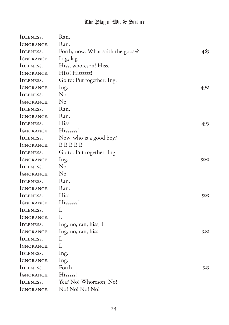| IDLENESS.                | Ran.                              |                 |
|--------------------------|-----------------------------------|-----------------|
| IGNORANCE.               | Ran.                              |                 |
| IDLENESS.                | Forth, now. What saith the goose? | 485             |
| IGNORANCE.               | Lag, lag.                         |                 |
| IDLENESS.                | Hiss, whoreson! Hiss.             |                 |
| IGNORANCE.               | Hiss! Hissssss!                   |                 |
| IDLENESS.                | Go to: Put together: Ing.         |                 |
| IGNORANCE.               | Ing.                              | 490             |
| IDLENESS.                | No.                               |                 |
| <i><b>IGNORANCE.</b></i> | N <sub>o</sub> .                  |                 |
| IDLENESS.                | Ran.                              |                 |
| IGNORANCE.               | Ran.                              |                 |
| IDLENESS.                | Hiss.                             | 495             |
| IGNORANCE.               | Hissssss!                         |                 |
| IDLENESS.                | Now, who is a good boy?           |                 |
| IGNORANCE.               | I! I! I! I! I!                    |                 |
| IDLENESS.                | Go to. Put together: Ing.         |                 |
| IGNORANCE.               | Ing.                              | 500             |
| IDLENESS.                | No.                               |                 |
| <i><b>IGNORANCE.</b></i> | No.                               |                 |
| IDLENESS.                | Ran.                              |                 |
| IGNORANCE.               | Ran.                              |                 |
| IDLENESS.                | Hiss.                             | 505             |
| IGNORANCE.               | Hissssss!                         |                 |
| IDLENESS.                | I.                                |                 |
| <i><b>IGNORANCE.</b></i> | Ι.                                |                 |
| IDLENESS.                | Ing, no, ran, hiss, I.            |                 |
| <i><b>IGNORANCE.</b></i> | Ing, no, ran, hiss.               | 5I <sub>O</sub> |
| IDLENESS.                | Ι.                                |                 |
| <i><b>IGNORANCE.</b></i> | I.                                |                 |
| IDLENESS.                | Ing.                              |                 |
| IGNORANCE.               | Ing.                              |                 |
| IDLENESS.                | Forth.                            | 515             |
| IGNORANCE.               | Hisssss!                          |                 |
| IDLENESS.                | Yea? No! Whoreson, No!            |                 |
| IGNORANCE.               | No! No! No! No!                   |                 |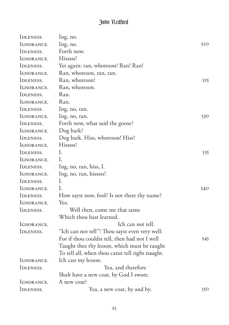| IDLENESS.                | Ing, no.                                        |     |
|--------------------------|-------------------------------------------------|-----|
| IGNORANCE.               | Ing, no.                                        | 520 |
| IDLENESS.                | Forth now.                                      |     |
| <i><b>IGNORANCE.</b></i> | Hisssss!                                        |     |
| IDLENESS.                | Yet again: ran, whoreson! Ran! Ran!             |     |
| <i><b>IGNORANCE.</b></i> | Ran, whoreson, ran, ran.                        |     |
| IDLENESS.                | Ran, whoreson!                                  | 525 |
| <i><b>IGNORANCE.</b></i> | Ran, whoreson.                                  |     |
| IDLENESS.                | Ran.                                            |     |
| <i><b>IGNORANCE.</b></i> | Ran.                                            |     |
| IDLENESS.                | Ing, no, ran.                                   |     |
| <i><b>IGNORANCE.</b></i> | Ing, no, ran.                                   | 530 |
| IDLENESS.                | Forth now, what said the goose?                 |     |
| IGNORANCE.               | Dog bark?                                       |     |
| IDLENESS.                | Dog bark. Hiss, whoreson! Hiss!                 |     |
| <i><b>IGNORANCE.</b></i> | Hisssss!                                        |     |
| IDLENESS.                | I.                                              | 535 |
| <i><b>IGNORANCE.</b></i> | L                                               |     |
| IDLENESS.                | Ing, no, ran, hiss, I.                          |     |
| <i><b>IGNORANCE.</b></i> | Ing, no, ran, hisssss!                          |     |
| IDLENESS.                | I.                                              |     |
| <i><b>IGNORANCE.</b></i> | I.                                              | 540 |
| IDLENESS.                | How sayst now, fool? Is not there thy name?     |     |
| <i><b>IGNORANCE.</b></i> | Yea.                                            |     |
| IDLENESS.                | Well then, come me that same                    |     |
|                          | Which thou hast learned.                        |     |
| <i><b>IGNORANCE.</b></i> | Ich can not tell.                               |     |
| IDLENESS.                | "Ich can not tell"! Thou sayst even very well:  |     |
|                          | For if thou couldst tell, then had not I well   | 545 |
|                          | Taught thee thy lesson, which must be taught    |     |
|                          | To tell all, when thou canst tell right naught. |     |
| <i><b>IGNORANCE.</b></i> | Ich can my lesson.                              |     |
| IDLENESS.                | Yea, and therefore                              |     |
|                          | Shalt have a new coat, by God I swore.          |     |
| <i><b>IGNORANCE.</b></i> | A new coat?                                     |     |
| IDLENESS.                | Yea, a new coat, by and by.                     | 550 |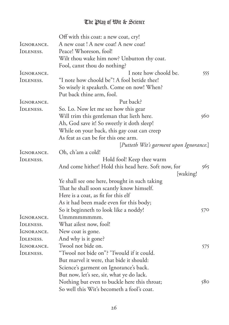|                          | Off with this coat: a new coat, cry!                |     |
|--------------------------|-----------------------------------------------------|-----|
| IGNORANCE.               | A new coat! A new coat! A new coat!                 |     |
| IDLENESS.                | Peace! Whoreson, fool!                              |     |
|                          | Wilt thou wake him now? Unbutton thy coat.          |     |
|                          | Fool, canst thou do nothing?                        |     |
| IGNORANCE.               | I note how choold be.                               | 555 |
| IDLENESS.                | "I note how choold be"! A fool betide thee!         |     |
|                          | So wisely it speaketh. Come on now! When?           |     |
|                          | Put back thine arm, fool.                           |     |
| IGNORANCE.               | Put back?                                           |     |
| IDLENESS.                | So. Lo. Now let me see how this gear                |     |
|                          | Will trim this gentleman that lieth here.           | 560 |
|                          | Ah, God save it! So sweetly it doth sleep!          |     |
|                          | While on your back, this gay coat can creep         |     |
|                          | As feat as can be for this one arm.                 |     |
|                          | [Putteth Wit's garment upon Ignorance.]             |     |
| <i><b>IGNORANCE.</b></i> | Oh, ch'am a cold!                                   |     |
| IDLENESS.                | Hold fool! Keep thee warm                           |     |
|                          | And come hither! Hold this head here. Soft now, for | 565 |
|                          | [waking!                                            |     |
|                          | Ye shall see one here, brought in such taking       |     |
|                          | That he shall soon scantly know himself.            |     |
|                          | Here is a coat, as fit for this elf                 |     |
|                          | As it had been made even for this body;             |     |
|                          | So it beginneth to look like a noddy!               | 570 |
| IGNORANCE.               | Ummmmmmm.                                           |     |
| IDLENESS.                | What ailest now, fool!                              |     |
| <i><b>IGNORANCE.</b></i> | New coat is gone.                                   |     |
| IDLENESS.                | And why is it gone?                                 |     |
| IGNORANCE.               | Twool not bide on.                                  | 575 |
| IDLENESS.                | "Twool not bide on"? 'Twould if it could.           |     |
|                          | But marvel it were, that bide it should:            |     |
|                          | Science's garment on Ignorance's back.              |     |
|                          | But now, let's see, sir, what ye do lack.           |     |
|                          | Nothing but even to buckle here this throat;        | 580 |
|                          | So well this Wit's becometh a fool's coat.          |     |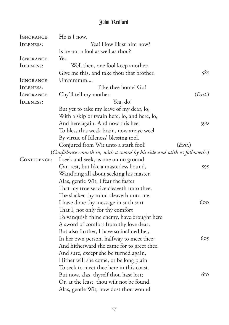| IGNORANCE:               | He is I now.                                                             |         |
|--------------------------|--------------------------------------------------------------------------|---------|
| IDLENESS:                | Yea! How lik'st him now?                                                 |         |
|                          | Is he not a fool as well as thou?                                        |         |
| IGNORANCE:               | Yes.                                                                     |         |
| IDLENESS:                | Well then, one fool keep another;                                        |         |
|                          | Give me this, and take thou that brother.                                | 585     |
| <i><b>IGNORANCE:</b></i> | $U$ mmmm $m$                                                             |         |
| IDLENESS:                | Pike thee home! Go!                                                      |         |
| IGNORANCE:               | Chy'll tell my mother.                                                   | (Exit.) |
| IDLENESS:                | Yea, do!                                                                 |         |
|                          | But yet to take my leave of my dear, lo,                                 |         |
|                          | With a skip or twain here, lo, and here, lo,                             |         |
|                          | And here again. And now this heel                                        | 590     |
|                          | To bless this weak brain, now are ye weel                                |         |
|                          | By virtue of Idleness' blessing tool,                                    |         |
|                          | Conjured from Wit unto a stark fool!                                     | (Exit.) |
|                          | (Confidence cometh in, with a sword by his side and saith as followeth:) |         |
| CONFIDENCE:              | I seek and seek, as one on no ground                                     |         |
|                          | Can rest, but like a masterless hound,                                   | 595     |
|                          | Wand'ring all about seeking his master.                                  |         |
|                          | Alas, gentle Wit, I fear the faster                                      |         |
|                          | That my true service cleaveth unto thee,                                 |         |
|                          | The slacker thy mind cleaveth unto me.                                   |         |
|                          | I have done thy message in such sort                                     | 600     |
|                          | That I, not only for thy comfort                                         |         |
|                          | To vanquish thine enemy, have brought here                               |         |
|                          | A sword of comfort from thy love dear;                                   |         |
|                          | But also further, I have so inclined her,                                |         |
|                          | In her own person, halfway to meet thee;                                 | 605     |
|                          | And hitherward she came for to greet thee.                               |         |
|                          | And sure, except she be turned again,                                    |         |
|                          | Hither will she come, or be long plain                                   |         |
|                          | To seek to meet thee here in this coast.                                 |         |
|                          | But now, alas, thyself thou hast lost;                                   | 610     |
|                          | Or, at the least, thou wilt not be found.                                |         |
|                          | Alas, gentle Wit, how dost thou wound                                    |         |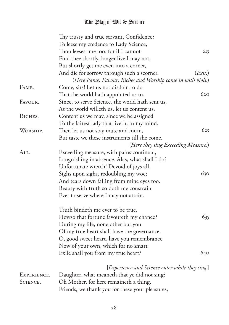|             | Thy trusty and true servant, Confidence?                    |         |
|-------------|-------------------------------------------------------------|---------|
|             | To leese my credence to Lady Science,                       |         |
|             | Thou leesest me too: for if I cannot                        | 615     |
|             | Find thee shortly, longer live I may not,                   |         |
|             | But shortly get me even into a corner,                      |         |
|             | And die for sorrow through such a scorner.                  | (Exit.) |
|             | (Here Fame, Favour, Riches and Worship come in with viols.) |         |
| FAME.       | Come, sirs! Let us not disdain to do                        |         |
|             | That the world hath appointed us to.                        | 620     |
| FAVOUR.     | Since, to serve Science, the world hath sent us,            |         |
|             | As the world willeth us, let us content us.                 |         |
| RICHES.     | Content us we may, since we be assigned                     |         |
|             | To the fairest lady that liveth, in my mind.                |         |
| WORSHIP.    | Then let us not stay mute and mum,                          | 625     |
|             | But taste we these instruments till she come.               |         |
|             | (Here they sing Exceeding Measure.)                         |         |
| All.        | Exceeding measure, with pains continual,                    |         |
|             | Languishing in absence. Alas, what shall I do?              |         |
|             | Unfortunate wretch! Devoid of joys all.                     |         |
|             | Sighs upon sighs, redoubling my woe;                        | 630     |
|             | And tears down falling from mine eyes too.                  |         |
|             | Beauty with truth so doth me constrain                      |         |
|             | Ever to serve where I may not attain.                       |         |
|             | Truth bindeth me ever to be true,                           |         |
|             | Howso that fortune favoureth my chance?                     | 635     |
|             | During my life, none other but you                          |         |
|             | Of my true heart shall have the governance.                 |         |
|             | O, good sweet heart, have you remembrance                   |         |
|             | Now of your own, which for no smart                         |         |
|             | Exile shall you from my true heart?                         | 640     |
|             | [Experience and Science enter while they sing.]             |         |
| EXPERIENCE. | Daughter, what meaneth that ye did not sing?                |         |
| SCIENCE.    | Oh Mother, for here remaineth a thing.                      |         |
|             | Friends, we thank you for these your pleasures,             |         |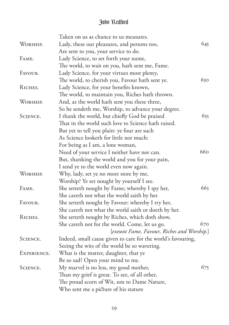|             | Taken on us as chance to us measures.                        |     |
|-------------|--------------------------------------------------------------|-----|
| WORSHIP.    | Lady, these our pleasures, and persons too,                  | 645 |
|             | Are sent to you, your service to do.                         |     |
| FAME.       | Lady Science, to set forth your name,                        |     |
|             | The world, to wait on you, hath sent me, Fame.               |     |
| FAVOUR.     | Lady Science, for your virtues most plenty,                  |     |
|             | The world, to cherish you, Favour hath sent ye.              | 650 |
| RICHES.     | Lady Science, for your benefits known,                       |     |
|             | The world, to maintain you, Riches hath thrown.              |     |
| WORSHIP.    | And, as the world hath sent you these three,                 |     |
|             | So he sendeth me, Worship, to advance your degree.           |     |
| SCIENCE.    | I thank the world, but chiefly God be praised                | 655 |
|             | That in the world such love to Science hath raised.          |     |
|             | But yet to tell you plain: ye four are such                  |     |
|             | As Science looketh for little nor much:                      |     |
|             | For being as I am, a lone woman,                             |     |
|             | Need of your service I neither have nor can.                 | 660 |
|             | But, thanking the world and you for your pain,               |     |
|             | I send ye to the world even now again.                       |     |
| WORSHIP.    | Why, lady, set ye no more store by me,                       |     |
|             | Worship? Ye set nought by yourself I see.                    |     |
| FAME.       | She setteth nought by Fame; whereby I spy her,               | 665 |
|             | She careth not what the world saith by her.                  |     |
| FAVOUR.     | She setteth nought by Favour; whereby I try her,             |     |
|             | She careth not what the world saith or doeth by her.         |     |
| RICHES.     | She setteth nought by Riches, which doth show,               |     |
|             | She careth not for the world. Come, let us go.               | 670 |
|             | [exeunt Fame, Favour, Riches and Worship.]                   |     |
| SCIENCE.    | Indeed, small cause given to care for the world's favouring, |     |
|             | Seeing the wits of the world be so wavering.                 |     |
| EXPERIENCE. | What is the matter, daughter, that ye                        |     |
|             | Be so sad? Open your mind to me.                             |     |
| SCIENCE.    | My marvel is no less, my good mother,                        | 675 |
|             | Than my grief is great. To see, of all other,                |     |
|             | The proud scorn of Wit, son to Dame Nature,                  |     |
|             | Who sent me a picture of his stature                         |     |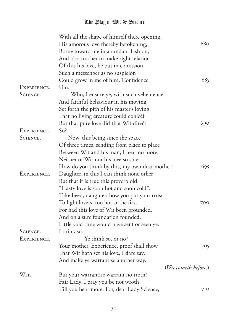|             | With all the shape of himself there opening,  |                      |
|-------------|-----------------------------------------------|----------------------|
|             | His amorous love thereby betokening,          | 680                  |
|             | Borne toward me in abundant fashion,          |                      |
|             | And also further to make right relation       |                      |
|             | Of this his love, he put in comission         |                      |
|             | Such a messenger as no suspicion              |                      |
|             | Could grow in me of him, Confidence.          | 685                  |
| EXPERIENCE. | Um.                                           |                      |
| SCIENCE.    | Who, I ensure ye, with such vehemence         |                      |
|             | And faithful behaviour in his moving          |                      |
|             | Set forth the pith of his master's loving     |                      |
|             | That no living creature could conject         |                      |
|             | But that pure love did that Wit direct.       | 690                  |
| EXPERIENCE. | So <sup>2</sup>                               |                      |
| SCIENCE.    | Now, this being since the space               |                      |
|             | Of three times, sending from place to place   |                      |
|             | Between Wit and his man, I hear no more,      |                      |
|             | Neither of Wit nor his love so sore.          |                      |
|             | How do you think by this, my own dear mother? | 695                  |
| EXPERIENCE. | Daughter, in this I can think none other      |                      |
|             | But that it is true this proverb old:         |                      |
|             | "Hasty love is soon hot and soon cold".       |                      |
|             | Take heed, daughter, how you put your trust   |                      |
|             | To light lovers, too hot at the first.        | 700                  |
|             | For had this love of Wit been grounded,       |                      |
|             | And on a sure foundation founded,             |                      |
|             | Little void time would have sent or seen ye.  |                      |
| SCIENCE.    | I think so.                                   |                      |
| EXPERIENCE. | Ye think so, or no?                           |                      |
|             | Your mother, Experience, proof shall show     | 705                  |
|             | That Wit hath set his love, I dare say,       |                      |
|             | And make ye warrantise another way.           |                      |
|             |                                               | (Wit cometh before.) |
| WIT.        | But your warrantise warrant no troth!         |                      |
|             | Fair Lady, I pray you be not wroth            |                      |
|             | Till you hear more. For, dear Lady Science,   | 710                  |
|             |                                               |                      |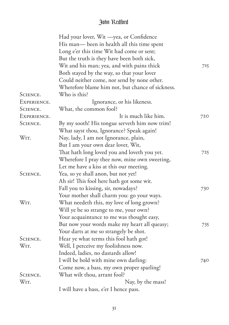|             | Had your lover, Wit - yea, or Confidence         |     |
|-------------|--------------------------------------------------|-----|
|             | His man-been in health all this time spent       |     |
|             | Long e'er this time Wit had come or sent;        |     |
|             | But the truth is they have been both sick,       |     |
|             | Wit and his man; yea, and with pains thick       | 715 |
|             | Both stayed by the way, so that your lover       |     |
|             | Could neither come, nor send by none other.      |     |
|             | Wherefore blame him not, but chance of sickness. |     |
| SCIENCE.    | Who is this?                                     |     |
| EXPERIENCE. | Ignorance, or his likeness.                      |     |
| SCIENCE.    | What, the common fool?                           |     |
| EXPERIENCE. | It is much like him.                             | 720 |
| SCIENCE.    | By my sooth! His tongue serveth him now trim!    |     |
|             | What sayst thou, Ignorance? Speak again!         |     |
| WIT.        | Nay, lady, I am not Ignorance, plain,            |     |
|             | But I am your own dear lover, Wit,               |     |
|             | That hath long loved you and loveth you yet.     | 725 |
|             | Wherefore I pray thee now, mine own sweeting,    |     |
|             | Let me have a kiss at this our meeting.          |     |
| SCIENCE.    | Yea, so ye shall anon, but not yet!              |     |
|             | Ah sir! This fool here hath got some wit.        |     |
|             | Fall you to kissing, sir, nowadays?              | 730 |
|             | Your mother shall charm you: go your ways.       |     |
| WIT.        | What needeth this, my love of long grown?        |     |
|             | Will ye be so strange to me, your own?           |     |
|             | Your acquaintance to me was thought easy,        |     |
|             | But now your words make my heart all queasy;     | 735 |
|             | Your darts at me so strangely be shot.           |     |
| SCIENCE.    | Hear ye what terms this fool hath got!           |     |
| WIT.        | Well, I perceive my foolishness now.             |     |
|             | Indeed, ladies, no dastards allow!               |     |
|             | I will be bold with mine own darling:            | 740 |
|             | Come now, a bass, my own proper sparling!        |     |
| SCIENCE.    | What wilt thou, arrant fool?                     |     |
| WIT.        | Nay, by the mass!                                |     |
|             | I will have a bass, e'er I hence pass.           |     |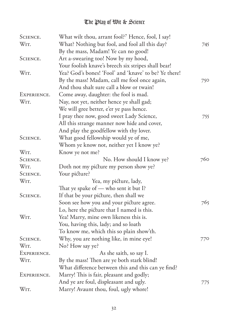| SCIENCE.    | What wilt thou, arrant fool?7 Hence, fool, I say!     |     |
|-------------|-------------------------------------------------------|-----|
| WIT.        | What? Nothing but fool, and fool all this day?        | 745 |
|             | By the mass, Madam! Ye can no good!                   |     |
| SCIENCE.    | Art a-swearing too! Now by my hood,                   |     |
|             | Your foolish knave's breech six stripes shall bear!   |     |
| WIT.        | Yea? God's bones! 'Fool' and 'knave' to be? Ye there! |     |
|             | By the mass! Madam, call me fool once again,          | 750 |
|             | And thou shalt sure call a blow or twain!             |     |
| EXPERIENCE. | Come away, daughter: the fool is mad.                 |     |
| WIT.        | Nay, not yet, neither hence ye shall gad;             |     |
|             | We will gree better, e'er ye pass hence.              |     |
|             | I pray thee now, good sweet Lady Science,             | 755 |
|             | All this strange manner now hide and cover,           |     |
|             | And play the goodfellow with thy lover.               |     |
| SCIENCE.    | What good fellowship would ye of me,                  |     |
|             | Whom ye know not, neither yet I know ye?              |     |
| WIT.        | Know ye not me?                                       |     |
| SCIENCE.    | No. How should I know ye?                             | 760 |
| WIT.        | Doth not my picture my person show ye?                |     |
| SCIENCE.    | Your picture?                                         |     |
| WIT.        | Yea, my picture, lady,                                |     |
|             | That ye spake of $-$ who sent it but I?               |     |
| SCIENCE.    | If that be your picture, then shall we                |     |
|             | Soon see how you and your picture agree.              | 765 |
|             | Lo, here the picture that I named is this.            |     |
| WIT.        | Yea! Marry, mine own likeness this is.                |     |
|             | You, having this, lady; and so loath                  |     |
|             | To know me, which this so plain show'th.              |     |
| SCIENCE.    | Why, you are nothing like, in mine eye!               | 770 |
| WIT.        | No? How say ye?                                       |     |
| EXPERIENCE. | As she saith, so say I.                               |     |
| WIT.        | By the mass! Then are ye both stark blind!            |     |
|             | What difference between this and this can ye find?    |     |
| EXPERIENCE. | Marry! This is fair, pleasant and godly;              |     |
|             | And ye are foul, displeasant and ugly.                | 775 |
| WIT.        | Marry! Avaunt thou, foul, ugly whore!                 |     |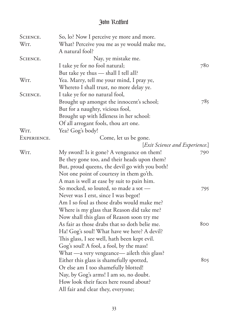| SCIENCE.          | So, lo? Now I perceive ye more and more.       |     |
|-------------------|------------------------------------------------|-----|
| WIT.              | What? Perceive you me as ye would make me,     |     |
|                   | A natural fool?                                |     |
| SCIENCE.          | Nay, ye mistake me.                            |     |
|                   | I take ye for no fool natural;                 | 780 |
|                   | But take ye thus — shall I tell all?           |     |
| WIT.              | Yea. Marry, tell me your mind, I pray ye,      |     |
|                   | Whereto I shall trust, no more delay ye.       |     |
| SCIENCE.          | I take ye for no natural fool,                 |     |
|                   | Brought up amongst the innocent's school;      | 785 |
|                   | But for a naughty, vicious fool,               |     |
|                   | Brought up with Idleness in her school:        |     |
|                   | Of all arrogant fools, thou art one.           |     |
| W <sub>IT</sub> . | Yea? Gog's body!                               |     |
| EXPERIENCE.       | Come, let us be gone.                          |     |
|                   | [Exit Science and Experience.]                 |     |
| WIT.              | My sword! Is it gone? A vengeance on them!     | 790 |
|                   | Be they gone too, and their heads upon them?   |     |
|                   | But, proud queens, the devil go with you both! |     |
|                   | Not one point of courtesy in them go'th.       |     |
|                   | A man is well at ease by suit to pain him.     |     |
|                   | So mocked, so louted, so made a sot -          | 795 |
|                   | Never was I erst, since I was begot!           |     |
|                   | Am I so foul as those drabs would make me?     |     |
|                   | Where is my glass that Reason did take me?     |     |
|                   | Now shall this glass of Reason soon try me     |     |
|                   | As fair as those drabs that so doth belie me.  | 800 |
|                   | Ha! Gog's soul! What have we here? A devil?    |     |
|                   | This glass, I see well, hath been kept evil.   |     |
|                   | Gog's soul! A fool, a fool, by the mass!       |     |
|                   | What —a very vengeance— aileth this glass?     |     |
|                   | Either this glass is shamefully spotted,       | 805 |
|                   | Or else am I too shamefully blotted!           |     |
|                   | Nay, by Gog's arms! I am so, no doubt.         |     |
|                   | How look their faces here round about?         |     |
|                   | All fair and clear they, everyone;             |     |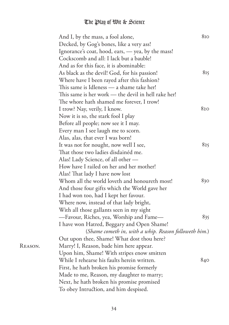| And I, by the mass, a fool alone,                     | 810 |
|-------------------------------------------------------|-----|
| Decked, by Gog's bones, like a very ass!              |     |
| Ignorance's coat, hood, ears, - yea, by the mass!     |     |
| Cockscomb and all: I lack but a bauble!               |     |
| And as for this face, it is abominable:               |     |
| As black as the devil! God, for his passion!          | 815 |
| Where have I been rayed after this fashion?           |     |
| This same is Idleness - a shame take her!             |     |
| This same is her work — the devil in hell rake her!   |     |
| The whore hath shamed me forever, I trow!             |     |
| I trow? Nay, verily, I know.                          | 820 |
| Now it is so, the stark fool I play                   |     |
| Before all people; now see it I may.                  |     |
| Every man I see laugh me to scorn.                    |     |
| Alas, alas, that ever I was born!                     |     |
| It was not for nought, now well I see,                | 825 |
| That those two ladies disdainéd me.                   |     |
| Alas! Lady Science, of all other -                    |     |
| How have I railed on her and her mother!              |     |
| Alas! That lady I have now lost                       |     |
| Whom all the world loveth and honoureth most!         | 830 |
| And those four gifts which the World gave her         |     |
| I had won too, had I kept her favour.                 |     |
| Where now, instead of that lady bright,               |     |
| With all those gallants seen in my sight              |     |
| -Favour, Riches, yea, Worship and Fame-               | 835 |
| I have won Hatred, Beggary and Open Shame!            |     |
| (Shame cometh in, with a whip. Reason followeth him.) |     |
| Out upon thee, Shame! What dost thou here?            |     |
| Marry! I, Reason, bade him here appear.               |     |
| Upon him, Shame! With stripes enow smitten            |     |
| While I rehearse his faults herein written.           | 840 |
| First, he hath broken his promise formerly            |     |
| Made to me, Reason, my daughter to marry;             |     |
| Next, he hath broken his promise promised             |     |
| To obey Intruction, and him despised.                 |     |
|                                                       |     |

REASON.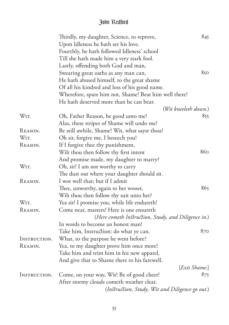|              | Thirdly, my daughter, Science, to reprove,            | 845                  |
|--------------|-------------------------------------------------------|----------------------|
|              | Upon Idleness he hath set his love.                   |                      |
|              | Fourthly, he hath followed Idleness' school           |                      |
|              | Till she hath made him a very stark fool.             |                      |
|              | Lastly, offending both God and man,                   |                      |
|              | Swearing great oaths as any man can,                  | 850                  |
|              | He hath abused himself, to the great shame            |                      |
|              | Of all his kindred and loss of his good name.         |                      |
|              | Wherefore, spare him not, Shame! Beat him well there! |                      |
|              | He hath deserved more than he can bear.               |                      |
|              |                                                       | (Wit kneeleth down.) |
| WIT.         | Oh, Father Reason, be good unto me!                   | 855                  |
|              | Alas, these stripes of Shame will undo me!            |                      |
| REASON.      | Be still awhile, Shame! Wit, what sayst thou?         |                      |
| WIT.         |                                                       |                      |
|              | Oh sir, forgive me, I beseech you!                    |                      |
| REASON.      | If I forgive thee thy punishment,                     |                      |
|              | Wilt thou then follow thy first intent                | 860                  |
|              | And promise made, my daughter to marry?               |                      |
| WIT.         | Oh, sir! I am not worthy to carry                     |                      |
|              | The dust out where your daughter should sit.          |                      |
| REASON.      | I wot well that; but if I admit                       |                      |
|              | Thee, unworthy, again to her wooer,                   | 865                  |
|              | Wilt thou then follow thy suit unto her?              |                      |
| WIT.         | Yea sir! I promise you, while life endureth!          |                      |
| REASON.      | Come near, masters! Here is one ensureth              |                      |
|              | (Here cometh Instruction, Study, and Diligence in.)   |                      |
|              | In words to become an honest man!                     |                      |
|              | Take him, Instruction: do what ye can.                | 870                  |
| INSTRUCTION. | What, to the purpose he went before?                  |                      |
| REASON.      | Yea, to my daughter prove him once more!              |                      |
|              | Take him and trim him in his new apparel,             |                      |
|              | And give that to Shame there to his farewell.         |                      |
|              |                                                       | [Exit Shame.]        |
| INSTRUCTION. | Come, on your way, Wit! Be of good cheer!             | 875                  |
|              | After stormy clouds cometh weather clear.             |                      |
|              | (Instruction, Study, Wit and Diligence go out.)       |                      |
|              |                                                       |                      |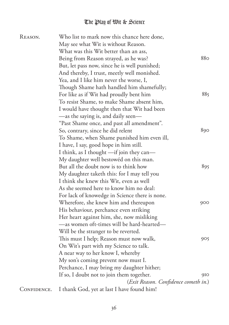| REASON.     | Who list to mark now this chance here done,    |     |
|-------------|------------------------------------------------|-----|
|             | May see what Wit is without Reason.            |     |
|             | What was this Wit better than an ass,          |     |
|             | Being from Reason strayed, as he was?          | 880 |
|             | But, let pass now, since he is well punished;  |     |
|             | And thereby, I trust, meetly well monished.    |     |
|             | Yea, and I like him never the worse, I,        |     |
|             | Though Shame hath handled him shamefully;      |     |
|             | For like as if Wit had proudly bent him        | 885 |
|             | To resist Shame, to make Shame absent him,     |     |
|             | I would have thought then that Wit had been    |     |
|             | -as the saying is, and daily seen-             |     |
|             | "Past Shame once, and past all amendment".     |     |
|             | So, contrary, since he did relent              | 890 |
|             | To Shame, when Shame punished him even ill,    |     |
|             | I have, I say, good hope in him still.         |     |
|             | I think, as I thought -if join they can-       |     |
|             | My daughter well bestowéd on this man.         |     |
|             | But all the doubt now is to think how          | 895 |
|             | My daughter taketh this: for I may tell you    |     |
|             | I think she knew this Wit, even as well        |     |
|             | As she seemed here to know him no deal:        |     |
|             | For lack of knowedge in Science there is none. |     |
|             | Wherefore, she knew him and thereupon          | 900 |
|             | His behaviour, perchance even striking         |     |
|             | Her heart against him, she, now misliking      |     |
|             | —as women oft-times will be hard-hearted—      |     |
|             | Will be the stranger to be reverted.           |     |
|             | This must I help; Reason must now walk,        | 905 |
|             | On Wit's part with my Science to talk.         |     |
|             | A near way to her know I, whereby              |     |
|             | My son's coming prevent now must I.            |     |
|             |                                                |     |
|             | Perchance, I may bring my daughter hither;     | 910 |
|             | If so, I doubt not to join them together.      |     |
|             | (Exit Reason. Confidence cometh in.)           |     |
| CONFIDENCE. | I thank God, yet at last I have found him!     |     |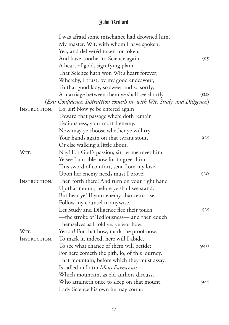|                     | I was afraid some mischance had drowned him,                              |     |
|---------------------|---------------------------------------------------------------------------|-----|
|                     | My master, Wit, with whom I have spoken,                                  |     |
|                     | Yea, and deliveréd token for token,                                       |     |
|                     | And have another to Science again —                                       | 915 |
|                     | A heart of gold, signifying plain                                         |     |
|                     | That Science hath won Wit's heart forever;                                |     |
|                     | Whereby, I trust, by my good endeavour,                                   |     |
|                     | To that good lady, so sweet and so sortly,                                |     |
|                     | A marriage between them ye shall see shortly.                             | 920 |
|                     | (Exit Confidence. Instruction cometh in, with Wit, Study, and Diligence.) |     |
| INSTRUCTION.        | Lo, sir! Now ye be entered again                                          |     |
|                     | Toward that passage where doth remain                                     |     |
|                     | Tediousness, your mortal enemy.                                           |     |
|                     | Now may ye choose whether ye will try                                     |     |
|                     | Your hands again on that tyrant stout,                                    | 925 |
|                     | Or else walking a little about.                                           |     |
| WIT.                | Nay! For God's passion, sir, let me meet him.                             |     |
|                     | Ye see I am able now for to greet him.                                    |     |
|                     | This sword of comfort, sent from my love,                                 |     |
|                     | Upon her enemy needs must I prove!                                        | 930 |
| INSTRUCTION.        | Then forth there! And turn on your right hand                             |     |
|                     | Up that mount, before ye shall see stand.                                 |     |
|                     | But hear ye! If your enemy chance to rise,                                |     |
|                     | Follow my counsel in anywise.                                             |     |
|                     | Let Study and Diligence flee their touch                                  | 935 |
|                     | -the stroke of Tediousness- and then couch                                |     |
|                     | Themselves as I told ye: ye wot how.                                      |     |
| Wіт.                | Yea sir! For that how, mark the proof now.                                |     |
| <i>INSTRUCTION.</i> | To mark it, indeed, here will I abide,                                    |     |
|                     | To see what chance of them will betide:                                   | 940 |
|                     | For here cometh the pith, lo, of this journey.                            |     |
|                     | That mountain, before which they must assay,                              |     |
|                     | Is called in Latin Mons Parnassus;                                        |     |
|                     | Which mountain, as old authors discuss,                                   |     |
|                     | Who attaineth once to sleep on that mount,                                | 945 |
|                     | Lady Science his own he may count.                                        |     |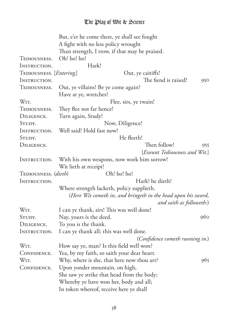|                                   | But, e'er he come there, ye shall see fought                  |                                 |     |
|-----------------------------------|---------------------------------------------------------------|---------------------------------|-----|
|                                   | A fight with no less policy wrought                           |                                 |     |
|                                   | Than strength, I trow, if that may be praised.                |                                 |     |
| TEDIOUSNESS.                      | Oh! ho! ho!                                                   |                                 |     |
| INSTRUCTION.                      | Hark!                                                         |                                 |     |
| TEDIOUSNESS. [ <i>Entering</i> .] |                                                               | Out, ye caitiffs!               |     |
| INSTRUCTION.                      |                                                               | The fiend is raised!            | 950 |
| TEDIOUSNESS.                      | Out, ye villains! Be ye come again?                           |                                 |     |
|                                   | Have at ye, wretches!                                         |                                 |     |
| WIT.                              | Flee, sirs, ye twain!                                         |                                 |     |
| TEDIOUSNESS.                      | They flee not far hence!                                      |                                 |     |
| DILIGENCE.                        | Turn again, Study!                                            |                                 |     |
| STUDY.                            | Now, Diligence!                                               |                                 |     |
| INSTRUCTION.                      | Well said! Hold fast now!                                     |                                 |     |
| STUDY.                            | He fleeth!                                                    |                                 |     |
| DILIGENCE.                        |                                                               | Then follow!                    | 955 |
|                                   |                                                               | [Exeunt Tediousness and Wit.]   |     |
| INSTRUCTION.                      | With his own weapons, now work him sorrow!                    |                                 |     |
|                                   | Wit lieth at receipt!                                         |                                 |     |
| TEDIOUSNESS. (dieth)              | Oh! ho! ho!                                                   |                                 |     |
| INSTRUCTION.                      |                                                               | Hark! he dieth!                 |     |
|                                   | Where strength lacketh, policy supplieth.                     |                                 |     |
|                                   | (Here Wit cometh in, and bringeth in the head upon his sword, |                                 |     |
|                                   |                                                               | and saith as followeth:)        |     |
| WIT.                              | I can ye thank, sirs! This was well done!                     |                                 |     |
| STUDY.                            | Nay, yours is the deed.                                       |                                 | 960 |
| DILIGENCE.                        | To you is the thank.                                          |                                 |     |
| INSTRUCTION.                      | I can ye thank all; this was well done.                       |                                 |     |
|                                   |                                                               | (Confidence cometh running in.) |     |
| WIT.                              | How say ye, man? Is this field well won?                      |                                 |     |
| CONFIDENCE.                       | Yea, by my faith, so saith your dear heart.                   |                                 |     |
| WIT.                              | Why, where is she, that here now thou art?                    |                                 | 965 |
| CONFIDENCE.                       | Upon yonder mountain, on high,                                |                                 |     |
|                                   | She saw ye strike that head from the body;                    |                                 |     |
|                                   | Whereby ye have won her, body and all;                        |                                 |     |
|                                   | In token whereof, receive here ye shall                       |                                 |     |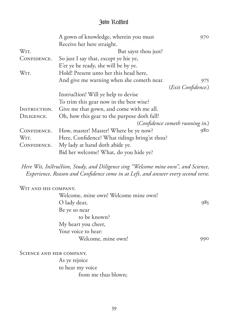|                   | A gown of knowledge, wherein you must         | 970                |
|-------------------|-----------------------------------------------|--------------------|
|                   | Receive her here straight.                    |                    |
| WIT.              | But sayst thou just?                          |                    |
| CONFIDENCE.       | So just I say that, except ye hie ye,         |                    |
|                   | E'er ye be ready, she will be by ye.          |                    |
| Wit.              | Hold! Present unto her this head here,        |                    |
|                   | And give me warning when she cometh near.     | 975.               |
|                   |                                               | (Exit Confidence.) |
|                   | Instruction! Will ye help to devise           |                    |
|                   | To trim this gear now in the best wise?       |                    |
| INSTRUCTION.      | Give me that gown, and come with me all.      |                    |
| DILIGENCE.        | Oh, how this gear to the purpose doth fall!   |                    |
|                   | (Confidence cometh running in.)               |                    |
| CONFIDENCE.       | How, master! Master! Where be ye now?         | 980                |
| W <sub>IT</sub> . | Here, Confidence! What tidings bring'st thou? |                    |
| CONFIDENCE.       | My lady at hand doth abide ye.                |                    |
|                   | Bid her welcome! What, do you hide ye?        |                    |

*Here Wit, Instruction, Study, and Diligence sing "Welcome mine own", and Science, Experience, Reason and Confidence come in at Left, and answer every second verse.*

WIT AND HIS COMPANY. Welcome, mine own! Welcome mine own! O lady dear, Be ye so near to be known? My heart you cheer, Your voice to hear: Welcome, mine own! 985 990

SCIENCE AND HER COMPANY.

As ye rejoice to hear my voice from me thus blown;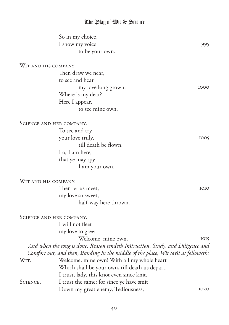|                          | So in my choice,                                                                    |             |
|--------------------------|-------------------------------------------------------------------------------------|-------------|
|                          | I show my voice                                                                     | 995         |
|                          | to be your own.                                                                     |             |
| WIT AND HIS COMPANY.     |                                                                                     |             |
|                          | Then draw we near,                                                                  |             |
|                          | to see and hear                                                                     |             |
|                          | my love long grown.                                                                 | 1000        |
|                          | Where is my dear?                                                                   |             |
|                          | Here I appear,                                                                      |             |
|                          | to see mine own.                                                                    |             |
| SCIENCE AND HER COMPANY. |                                                                                     |             |
|                          | To see and try                                                                      |             |
|                          | your love truly,                                                                    | 1005        |
|                          | till death be flown.                                                                |             |
|                          | Lo, I am here,                                                                      |             |
|                          | that ye may spy                                                                     |             |
|                          | I am your own.                                                                      |             |
| WIT AND HIS COMPANY.     |                                                                                     |             |
|                          | Then let us meet,                                                                   | <b>IOIO</b> |
|                          | my love so sweet,                                                                   |             |
|                          | half-way here thrown.                                                               |             |
| SCIENCE AND HER COMPANY. |                                                                                     |             |
|                          | I will not fleet                                                                    |             |
|                          | my love to greet                                                                    |             |
|                          | Welcome, mine own.                                                                  | IOI5        |
|                          | And when the song is done, Reason sendeth Instruction, Study, and Diligence and     |             |
|                          | Comfort out, and then, standing in the middle of the place, Wit sayst as followeth: |             |
| WIT.                     | Welcome, mine own! With all my whole heart                                          |             |
|                          | Which shall be your own, till death us depart.                                      |             |
|                          | I trust, lady, this knot even since knit.                                           |             |
| SCIENCE.                 | I trust the same: for since ye have smit                                            |             |
|                          | Down my great enemy, Tediousness,                                                   | 1020        |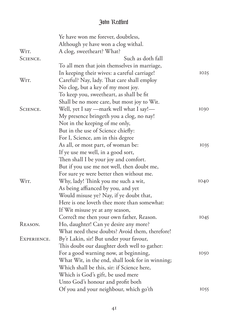|             | Ye have won me forever, doubtless,               |      |
|-------------|--------------------------------------------------|------|
|             | Although ye have won a clog withal.              |      |
| WIT.        | A clog, sweetheart? What?                        |      |
| SCIENCE.    | Such as doth fall                                |      |
|             | To all men that join themselves in marriage,     |      |
|             | In keeping their wives: a careful carriage!      | 1025 |
| WIT.        | Careful? Nay, lady. That care shall employ       |      |
|             | No clog, but a key of my most joy.               |      |
|             | To keep you, sweetheart, as shall be fit         |      |
|             | Shall be no more care, but most joy to Wit.      |      |
| SCIENCE.    | Well, yet I say —mark well what I say!—          | 1030 |
|             | My presence bringeth you a clog, no nay!         |      |
|             | Not in the keeping of me only,                   |      |
|             | But in the use of Science chiefly:               |      |
|             | For I, Science, am in this degree                |      |
|             | As all, or most part, of woman be:               | 1035 |
|             | If ye use me well, in a good sort,               |      |
|             | Then shall I be your joy and comfort.            |      |
|             | But if you use me not well, then doubt me,       |      |
|             | For sure ye were better then without me.         |      |
| WIT.        | Why, lady! Think you me such a wit,              | 1040 |
|             | As being affianced by you, and yet               |      |
|             | Would misuse ye? Nay, if ye doubt that,          |      |
|             | Here is one loveth thee more than somewhat:      |      |
|             | If Wit misuse ye at any season,                  |      |
|             | Correct me then your own father, Reason.         | 1045 |
| REASON.     | Ho, daughter! Can ye desire any more?            |      |
|             | What need these doubts? Avoid them, therefore!   |      |
| EXPERIENCE. | By'r Lakin, sir! But under your favour,          |      |
|             | This doubt our daughter doth well to gather:     |      |
|             | For a good warning now, at beginning,            | 1050 |
|             | What Wit, in the end, shall look for in winning; |      |
|             | Which shall be this, sir: if Science here,       |      |
|             | Which is God's gift, be used mere                |      |
|             | Unto God's honour and profit both                |      |
|             | Of you and your neighbour, which go'th           | 1055 |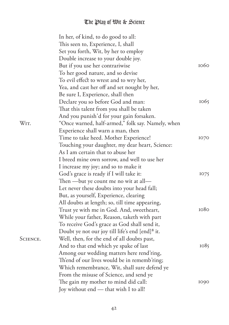|          | In her, of kind, to do good to all:                         |      |
|----------|-------------------------------------------------------------|------|
|          | This seen to, Experience, I, shall                          |      |
|          | Set you forth, Wit, by her to employ                        |      |
|          | Double increase to your double joy.                         |      |
|          | But if you use her contrariwise                             | 1060 |
|          | To her good nature, and so devise                           |      |
|          | To evil effect to wrest and to wry her,                     |      |
|          | Yea, and cast her off and set nought by her,                |      |
|          | Be sure I, Experience, shall then                           |      |
|          | Declare you so before God and man:                          | 1065 |
|          | That this talent from you shall be taken                    |      |
|          | And you punish'd for your gain forsaken.                    |      |
| WIT.     | "Once warned, half-armed," folk say. Namely, when           |      |
|          | Experience shall warn a man, then                           |      |
|          | Time to take heed. Mother Experience!                       | 1070 |
|          | Touching your daughter, my dear heart, Science:             |      |
|          | As I am certain that to abuse her                           |      |
|          | I breed mine own sorrow, and well to use her                |      |
|          | I increase my joy; and so to make it                        |      |
|          | God's grace is ready if I will take it:                     | 1075 |
|          | Then —but ye count me no wit at all—                        |      |
|          | Let never these doubts into your head fall;                 |      |
|          | But, as yourself, Experience, clearing                      |      |
|          | All doubts at length; so, till time appearing,              |      |
|          | Trust ye with me in God. And, sweetheart,                   | 1080 |
|          | While your father, Reason, taketh with part                 |      |
|          | To receive God's grace as God shall send it,                |      |
|          | Doubt ye not our joy till life's end [end] <sup>8</sup> it. |      |
| SCIENCE. | Well, then, for the end of all doubts past,                 |      |
|          | And to that end which ye spake of last                      | 1085 |
|          | Among our wedding matters here rend'ring,                   |      |
|          | Th'end of our lives would be in rememb'ring;                |      |
|          | Which remembrance, Wit, shall sure defend ye                |      |
|          | From the misuse of Science, and send ye                     |      |
|          | The gain my mother to mind did call:                        | 1090 |
|          |                                                             |      |
|          | Joy without end - that wish I to all!                       |      |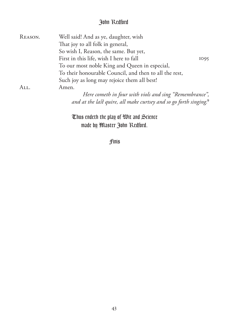| REASON. | Well said! And as ye, daughter, wish                                          |      |
|---------|-------------------------------------------------------------------------------|------|
|         | That joy to all folk in general,                                              |      |
|         | So wish I, Reason, the same. But yet,                                         |      |
|         | First in this life, wish I here to fall                                       | 1095 |
|         | To our most noble King and Queen in especial,                                 |      |
|         | To their honourable Council, and then to all the rest,                        |      |
|         | Such joy as long may rejoice them all best!                                   |      |
| All.    | Amen.                                                                         |      |
|         | Here cometh in four with viols and sing "Remembrance",                        |      |
|         | and at the last quire, all make curtsey and so go forth singing. <sup>9</sup> |      |
|         |                                                                               |      |

Thus endeth the play of Wit and Science made by Master John Redford.

Finis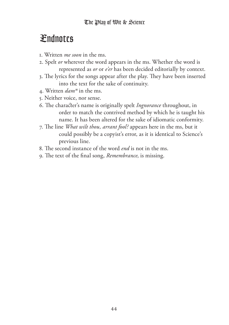# Endnotes

- . Written *me soon* in the ms.
- . Spelt *or* wherever the word appears in the ms. Whether the word is represented as *or* or *e'er* has been decided editorially by context.
- 3. The lyrics for the songs appear after the play. They have been inserted into the text for the sake of continuity.
- . Written *damⁿ* in the ms.
- . Neither voice, nor sense.
- 6. The character's name is originally spelt *Ingnorance* throughout, in order to match the contrived method by which he is taught his name. It has been altered for the sake of idiomatic conformity.
- 7. The line *What wilt thou, arrant fool?* appears here in the ms, but it could possibly be a copyist's error, as it is identical to Science's previous line.
- 8. The second instance of the word *end* is not in the ms.
- 9. The text of the final song, *Remembrance*, is missing.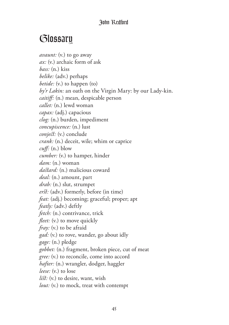# Glossary

*avaunt:* (v.) to go away *ax:* (v.) archaic form of ask *bass:* (n.) kiss *belike:* (adv.) perhaps *betide:* (v.) to happen (to) *by'r Lakin:* an oath on the Virgin Mary: by our Lady-kin. *caitiff:* (n.) mean, despicable person *callet:* (n.) lewd woman *capax:* (adj.) capacious *clog:* (n.) burden, impediment *concupiscence:* (n.) lust *conject:* (v.) conclude *crank:* (n.) deceit, wile; whim or caprice *cuff:* (n.) blow *cumber:* (v.) to hamper, hinder *dam:* (n.) woman *dastard:* (n.) malicious coward *deal:* (n.) amount, part *drab:* (n.) slut, strumpet *erst:* (adv.) formerly, before (in time) *feat:* (adj.) becoming; graceful; proper; apt *featly:* (adv.) deftly *fetch:* (n.) contrivance, trick *fleet:* (v.) to move quickly *fray:* (v.) to be afraid *gad:* (v.) to rove, wander, go about idly *gage:* (n.) pledge *gobbet:* (n.) fragment, broken piece, cut of meat *gree:* (v.) to reconcile, come into accord *hafter:* (n.) wrangler, dodger, haggler *leese:* (v.) to lose *list:* (v.) to desire, want, wish *lout:* (v.) to mock, treat with contempt